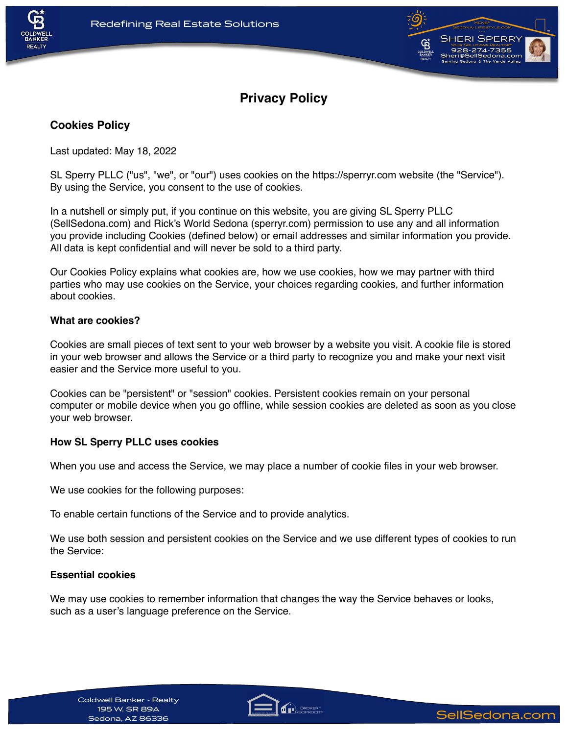



# **Privacy Policy**

# **Cookies Policy**

Last updated: May 18, 2022

SL Sperry PLLC ("us", "we", or "our") uses cookies on the https://sperryr.com website (the "Service"). By using the Service, you consent to the use of cookies.

In a nutshell or simply put, if you continue on this website, you are giving SL Sperry PLLC (SellSedona.com) and Rick's World Sedona (sperryr.com) permission to use any and all information you provide including Cookies (defined below) or email addresses and similar information you provide. All data is kept confidential and will never be sold to a third party.

Our Cookies Policy explains what cookies are, how we use cookies, how we may partner with third parties who may use cookies on the Service, your choices regarding cookies, and further information about cookies.

### **What are cookies?**

Cookies are small pieces of text sent to your web browser by a website you visit. A cookie file is stored in your web browser and allows the Service or a third party to recognize you and make your next visit easier and the Service more useful to you.

Cookies can be "persistent" or "session" cookies. Persistent cookies remain on your personal computer or mobile device when you go offline, while session cookies are deleted as soon as you close your web browser.

## **How SL Sperry PLLC uses cookies**

When you use and access the Service, we may place a number of cookie files in your web browser.

We use cookies for the following purposes:

To enable certain functions of the Service and to provide analytics.

We use both session and persistent cookies on the Service and we use different types of cookies to run the Service:

#### **Essential cookies**

We may use cookies to remember information that changes the way the Service behaves or looks, such as a user's language preference on the Service.